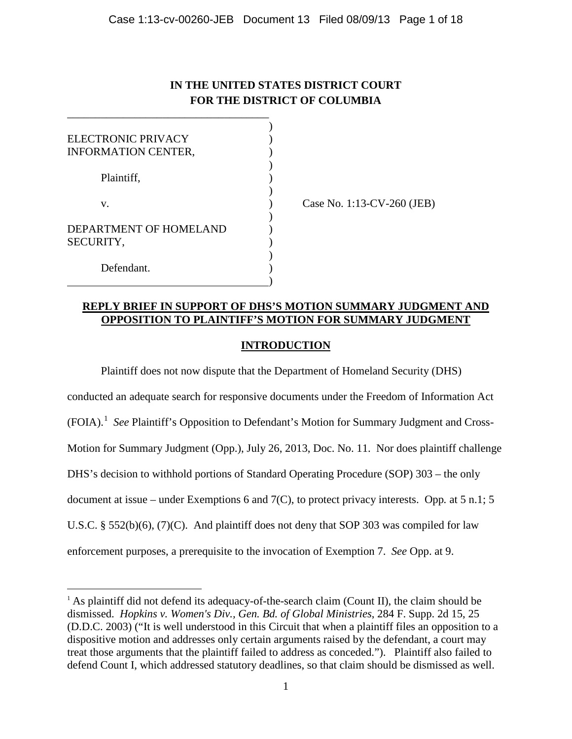# **IN THE UNITED STATES DISTRICT COURT FOR THE DISTRICT OF COLUMBIA**

| ELECTRONIC PRIVACY                  |  |
|-------------------------------------|--|
| <b>INFORMATION CENTER,</b>          |  |
| Plaintiff,                          |  |
| V.                                  |  |
| DEPARTMENT OF HOMELAND<br>SECURITY, |  |
| Defendant.                          |  |

 $\overline{a}$ 

\_\_\_\_\_\_\_\_\_\_\_\_\_\_\_\_\_\_\_\_\_\_\_\_\_\_\_\_\_\_\_\_\_\_\_\_

Case No. 1:13-CV-260 (JEB)

# **REPLY BRIEF IN SUPPORT OF DHS'S MOTION SUMMARY JUDGMENT AND OPPOSITION TO PLAINTIFF'S MOTION FOR SUMMARY JUDGMENT**

# **INTRODUCTION**

Plaintiff does not now dispute that the Department of Homeland Security (DHS) conducted an adequate search for responsive documents under the Freedom of Information Act (FOIA). 1 *See* Plaintiff's Opposition to Defendant's Motion for Summary Judgment and Cross-Motion for Summary Judgment (Opp.), July 26, 2013, Doc. No. 11. Nor does plaintiff challenge DHS's decision to withhold portions of Standard Operating Procedure (SOP) 303 – the only document at issue – under Exemptions 6 and 7(C), to protect privacy interests. Opp*.* at 5 n.1; 5 U.S.C. § 552(b)(6),  $(7)(C)$ . And plaintiff does not deny that SOP 303 was compiled for law enforcement purposes, a prerequisite to the invocation of Exemption 7. *See* Opp. at 9.

 $<sup>1</sup>$  As plaintiff did not defend its adequacy-of-the-search claim (Count II), the claim should be</sup> dismissed. *Hopkins v. Women's Div., Gen. Bd. of Global Ministries*, 284 F. Supp. 2d 15, 25 (D.D.C. 2003) ("It is well understood in this Circuit that when a plaintiff files an opposition to a dispositive motion and addresses only certain arguments raised by the defendant, a court may treat those arguments that the plaintiff failed to address as conceded."). Plaintiff also failed to defend Count I, which addressed statutory deadlines, so that claim should be dismissed as well.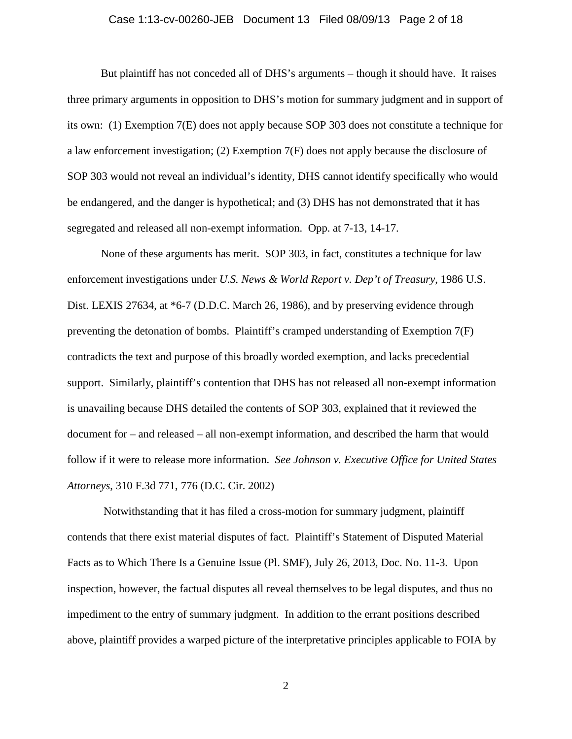### Case 1:13-cv-00260-JEB Document 13 Filed 08/09/13 Page 2 of 18

But plaintiff has not conceded all of DHS's arguments – though it should have. It raises three primary arguments in opposition to DHS's motion for summary judgment and in support of its own: (1) Exemption 7(E) does not apply because SOP 303 does not constitute a technique for a law enforcement investigation; (2) Exemption 7(F) does not apply because the disclosure of SOP 303 would not reveal an individual's identity, DHS cannot identify specifically who would be endangered, and the danger is hypothetical; and (3) DHS has not demonstrated that it has segregated and released all non-exempt information. Opp. at 7-13, 14-17.

None of these arguments has merit. SOP 303, in fact, constitutes a technique for law enforcement investigations under *U.S. News & World Report v. Dep't of Treasury*, 1986 U.S. Dist. LEXIS 27634, at \*6-7 (D.D.C. March 26, 1986), and by preserving evidence through preventing the detonation of bombs. Plaintiff's cramped understanding of Exemption 7(F) contradicts the text and purpose of this broadly worded exemption, and lacks precedential support. Similarly, plaintiff's contention that DHS has not released all non-exempt information is unavailing because DHS detailed the contents of SOP 303, explained that it reviewed the document for – and released – all non-exempt information, and described the harm that would follow if it were to release more information. *See Johnson v. Executive Office for United States Attorneys*, 310 F.3d 771, 776 (D.C. Cir. 2002)

Notwithstanding that it has filed a cross-motion for summary judgment, plaintiff contends that there exist material disputes of fact. Plaintiff's Statement of Disputed Material Facts as to Which There Is a Genuine Issue (Pl. SMF), July 26, 2013, Doc. No. 11-3. Upon inspection, however, the factual disputes all reveal themselves to be legal disputes, and thus no impediment to the entry of summary judgment. In addition to the errant positions described above, plaintiff provides a warped picture of the interpretative principles applicable to FOIA by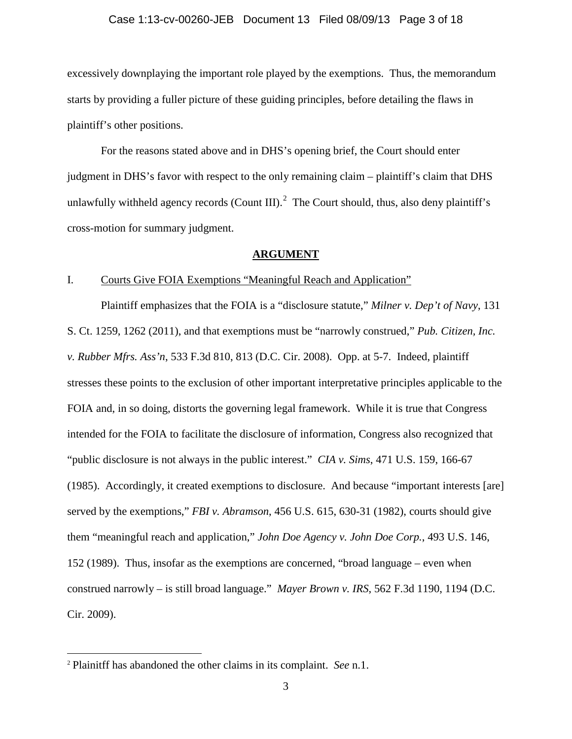#### Case 1:13-cv-00260-JEB Document 13 Filed 08/09/13 Page 3 of 18

excessively downplaying the important role played by the exemptions. Thus, the memorandum starts by providing a fuller picture of these guiding principles, before detailing the flaws in plaintiff's other positions.

For the reasons stated above and in DHS's opening brief, the Court should enter judgment in DHS's favor with respect to the only remaining claim – plaintiff's claim that DHS unlawfully withheld agency records (Count III). $^2$  The Court should, thus, also deny plaintiff's cross-motion for summary judgment.

## **ARGUMENT**

# I. Courts Give FOIA Exemptions "Meaningful Reach and Application"

Plaintiff emphasizes that the FOIA is a "disclosure statute," *Milner v. Dep't of Navy*, 131 S. Ct. 1259, 1262 (2011), and that exemptions must be "narrowly construed," *Pub. Citizen, Inc. v. Rubber Mfrs. Ass'n*, 533 F.3d 810, 813 (D.C. Cir. 2008). Opp. at 5-7. Indeed, plaintiff stresses these points to the exclusion of other important interpretative principles applicable to the FOIA and, in so doing, distorts the governing legal framework. While it is true that Congress intended for the FOIA to facilitate the disclosure of information, Congress also recognized that "public disclosure is not always in the public interest." *CIA v. Sims*, 471 U.S. 159, 166-67 (1985). Accordingly, it created exemptions to disclosure. And because "important interests [are] served by the exemptions," *FBI v. Abramson*, 456 U.S. 615, 630-31 (1982), courts should give them "meaningful reach and application," *John Doe Agency v. John Doe Corp.*, 493 U.S. 146, 152 (1989). Thus, insofar as the exemptions are concerned, "broad language – even when construed narrowly – is still broad language." *Mayer Brown v. IRS*, 562 F.3d 1190, 1194 (D.C. Cir. 2009).

 $\overline{a}$ 

<sup>2</sup> Plainitff has abandoned the other claims in its complaint. *See* n.1.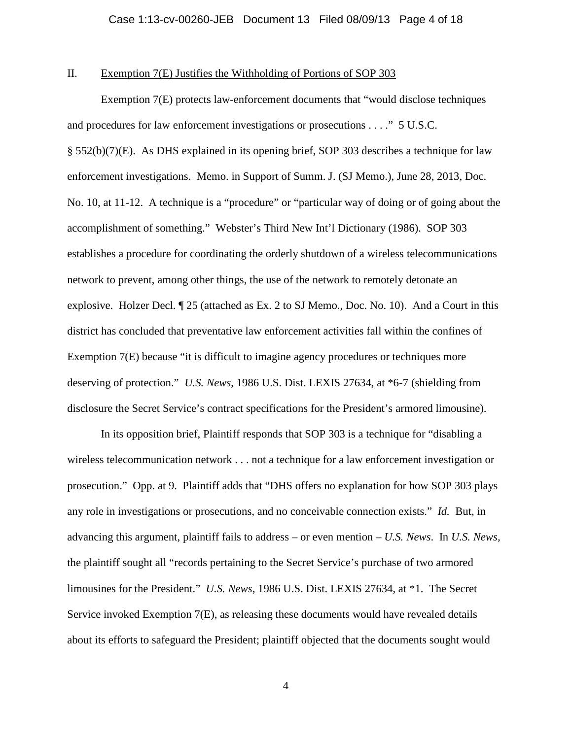# II. Exemption 7(E) Justifies the Withholding of Portions of SOP 303

 Exemption 7(E) protects law-enforcement documents that "would disclose techniques and procedures for law enforcement investigations or prosecutions . . . ." 5 U.S.C. § 552(b)(7)(E). As DHS explained in its opening brief, SOP 303 describes a technique for law enforcement investigations. Memo. in Support of Summ. J. (SJ Memo.), June 28, 2013, Doc. No. 10, at 11-12. A technique is a "procedure" or "particular way of doing or of going about the accomplishment of something." Webster's Third New Int'l Dictionary (1986). SOP 303 establishes a procedure for coordinating the orderly shutdown of a wireless telecommunications network to prevent, among other things, the use of the network to remotely detonate an explosive. Holzer Decl. ¶ 25 (attached as Ex. 2 to SJ Memo., Doc. No. 10). And a Court in this district has concluded that preventative law enforcement activities fall within the confines of Exemption 7(E) because "it is difficult to imagine agency procedures or techniques more deserving of protection." *U.S. News*, 1986 U.S. Dist. LEXIS 27634, at \*6-7 (shielding from disclosure the Secret Service's contract specifications for the President's armored limousine).

 In its opposition brief, Plaintiff responds that SOP 303 is a technique for "disabling a wireless telecommunication network . . . not a technique for a law enforcement investigation or prosecution." Opp. at 9. Plaintiff adds that "DHS offers no explanation for how SOP 303 plays any role in investigations or prosecutions, and no conceivable connection exists." *Id.* But, in advancing this argument, plaintiff fails to address – or even mention – *U.S. News*. In *U.S. News,*  the plaintiff sought all "records pertaining to the Secret Service's purchase of two armored limousines for the President." *U.S. News*, 1986 U.S. Dist. LEXIS 27634, at \*1. The Secret Service invoked Exemption 7(E), as releasing these documents would have revealed details about its efforts to safeguard the President; plaintiff objected that the documents sought would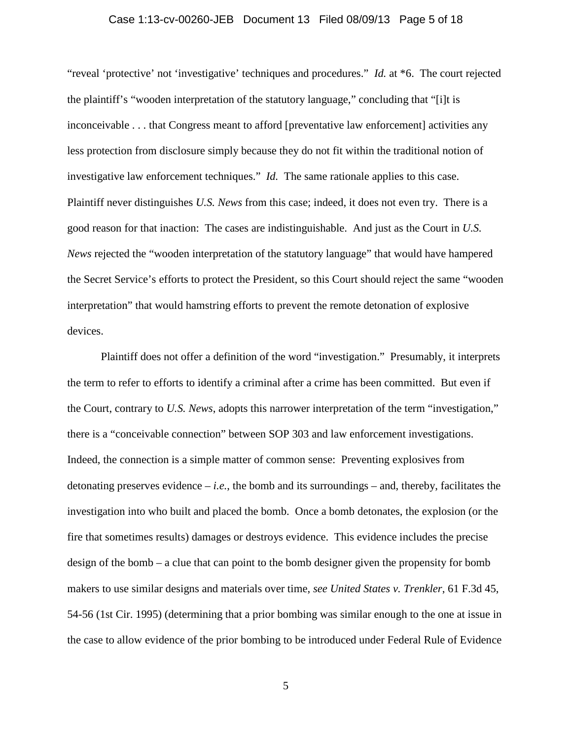### Case 1:13-cv-00260-JEB Document 13 Filed 08/09/13 Page 5 of 18

"reveal 'protective' not 'investigative' techniques and procedures." *Id.* at \*6. The court rejected the plaintiff's "wooden interpretation of the statutory language," concluding that "[i]t is inconceivable . . . that Congress meant to afford [preventative law enforcement] activities any less protection from disclosure simply because they do not fit within the traditional notion of investigative law enforcement techniques." *Id.* The same rationale applies to this case. Plaintiff never distinguishes *U.S. News* from this case; indeed, it does not even try. There is a good reason for that inaction: The cases are indistinguishable. And just as the Court in *U.S. News* rejected the "wooden interpretation of the statutory language" that would have hampered the Secret Service's efforts to protect the President, so this Court should reject the same "wooden interpretation" that would hamstring efforts to prevent the remote detonation of explosive devices.

 Plaintiff does not offer a definition of the word "investigation." Presumably, it interprets the term to refer to efforts to identify a criminal after a crime has been committed. But even if the Court, contrary to *U.S. News*, adopts this narrower interpretation of the term "investigation," there is a "conceivable connection" between SOP 303 and law enforcement investigations. Indeed, the connection is a simple matter of common sense: Preventing explosives from detonating preserves evidence  $-i.e.,$  the bomb and its surroundings  $-$  and, thereby, facilitates the investigation into who built and placed the bomb. Once a bomb detonates, the explosion (or the fire that sometimes results) damages or destroys evidence. This evidence includes the precise design of the bomb – a clue that can point to the bomb designer given the propensity for bomb makers to use similar designs and materials over time, *see United States v. Trenkler*, 61 F.3d 45, 54-56 (1st Cir. 1995) (determining that a prior bombing was similar enough to the one at issue in the case to allow evidence of the prior bombing to be introduced under Federal Rule of Evidence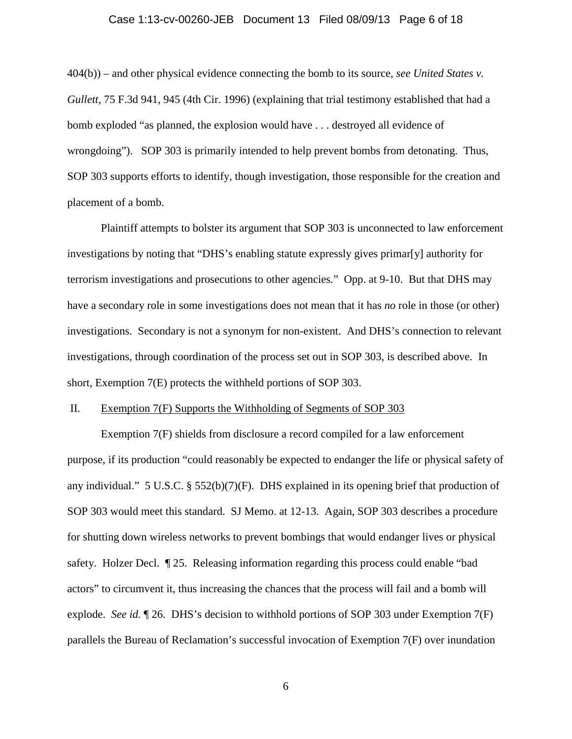#### Case 1:13-cv-00260-JEB Document 13 Filed 08/09/13 Page 6 of 18

404(b)) – and other physical evidence connecting the bomb to its source, *see United States v. Gullett*, 75 F.3d 941, 945 (4th Cir. 1996) (explaining that trial testimony established that had a bomb exploded "as planned, the explosion would have . . . destroyed all evidence of wrongdoing"). SOP 303 is primarily intended to help prevent bombs from detonating. Thus, SOP 303 supports efforts to identify, though investigation, those responsible for the creation and placement of a bomb.

Plaintiff attempts to bolster its argument that SOP 303 is unconnected to law enforcement investigations by noting that "DHS's enabling statute expressly gives primar[y] authority for terrorism investigations and prosecutions to other agencies." Opp. at 9-10. But that DHS may have a secondary role in some investigations does not mean that it has *no* role in those (or other) investigations. Secondary is not a synonym for non-existent. And DHS's connection to relevant investigations, through coordination of the process set out in SOP 303, is described above. In short, Exemption 7(E) protects the withheld portions of SOP 303.

#### II. Exemption 7(F) Supports the Withholding of Segments of SOP 303

 Exemption 7(F) shields from disclosure a record compiled for a law enforcement purpose, if its production "could reasonably be expected to endanger the life or physical safety of any individual." 5 U.S.C. §  $552(b)(7)(F)$ . DHS explained in its opening brief that production of SOP 303 would meet this standard. SJ Memo. at 12-13. Again, SOP 303 describes a procedure for shutting down wireless networks to prevent bombings that would endanger lives or physical safety. Holzer Decl. ¶ 25. Releasing information regarding this process could enable "bad actors" to circumvent it, thus increasing the chances that the process will fail and a bomb will explode. *See id.* ¶ 26. DHS's decision to withhold portions of SOP 303 under Exemption 7(F) parallels the Bureau of Reclamation's successful invocation of Exemption 7(F) over inundation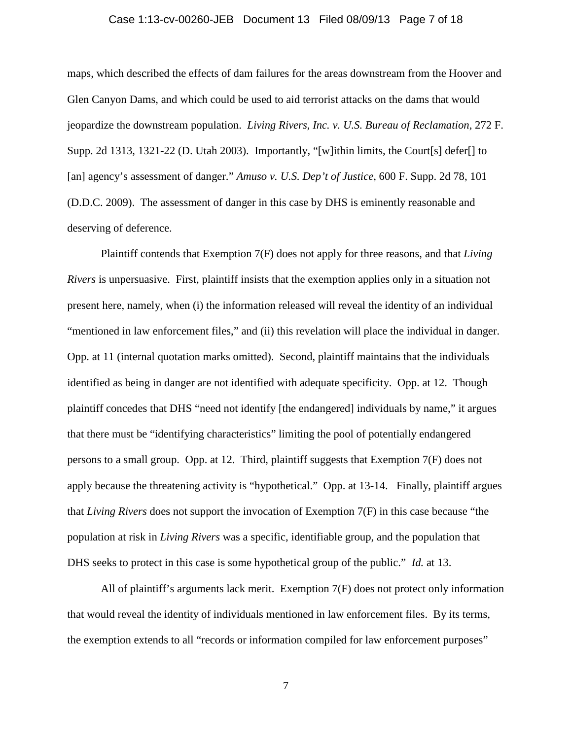### Case 1:13-cv-00260-JEB Document 13 Filed 08/09/13 Page 7 of 18

maps, which described the effects of dam failures for the areas downstream from the Hoover and Glen Canyon Dams, and which could be used to aid terrorist attacks on the dams that would jeopardize the downstream population. *Living Rivers, Inc. v. U.S. Bureau of Reclamation*, 272 F. Supp. 2d 1313, 1321-22 (D. Utah 2003). Importantly, "[w]ithin limits, the Court[s] defer[] to [an] agency's assessment of danger." *Amuso v. U.S. Dep't of Justice*, 600 F. Supp. 2d 78, 101 (D.D.C. 2009). The assessment of danger in this case by DHS is eminently reasonable and deserving of deference.

 Plaintiff contends that Exemption 7(F) does not apply for three reasons, and that *Living Rivers* is unpersuasive. First, plaintiff insists that the exemption applies only in a situation not present here, namely, when (i) the information released will reveal the identity of an individual "mentioned in law enforcement files," and (ii) this revelation will place the individual in danger. Opp. at 11 (internal quotation marks omitted). Second, plaintiff maintains that the individuals identified as being in danger are not identified with adequate specificity. Opp. at 12. Though plaintiff concedes that DHS "need not identify [the endangered] individuals by name," it argues that there must be "identifying characteristics" limiting the pool of potentially endangered persons to a small group. Opp. at 12. Third, plaintiff suggests that Exemption 7(F) does not apply because the threatening activity is "hypothetical." Opp. at 13-14. Finally, plaintiff argues that *Living Rivers* does not support the invocation of Exemption 7(F) in this case because "the population at risk in *Living Rivers* was a specific, identifiable group, and the population that DHS seeks to protect in this case is some hypothetical group of the public." *Id.* at 13.

All of plaintiff's arguments lack merit. Exemption 7(F) does not protect only information that would reveal the identity of individuals mentioned in law enforcement files. By its terms, the exemption extends to all "records or information compiled for law enforcement purposes"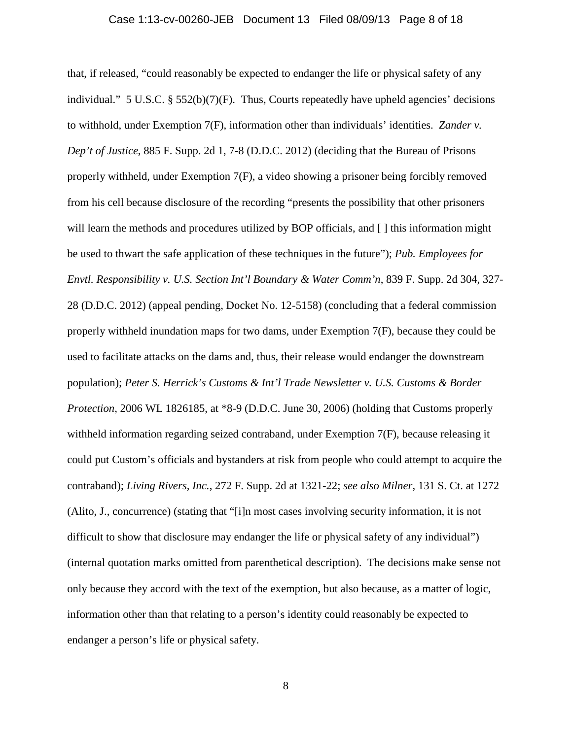#### Case 1:13-cv-00260-JEB Document 13 Filed 08/09/13 Page 8 of 18

that, if released, "could reasonably be expected to endanger the life or physical safety of any individual." 5 U.S.C.  $\S$  552(b)(7)(F). Thus, Courts repeatedly have upheld agencies' decisions to withhold, under Exemption 7(F), information other than individuals' identities. *Zander v. Dep't of Justice*, 885 F. Supp. 2d 1, 7-8 (D.D.C. 2012) (deciding that the Bureau of Prisons properly withheld, under Exemption 7(F), a video showing a prisoner being forcibly removed from his cell because disclosure of the recording "presents the possibility that other prisoners will learn the methods and procedures utilized by BOP officials, and [] this information might be used to thwart the safe application of these techniques in the future"); *Pub. Employees for Envtl. Responsibility v. U.S. Section Int'l Boundary & Water Comm'n*, 839 F. Supp. 2d 304, 327- 28 (D.D.C. 2012) (appeal pending, Docket No. 12-5158) (concluding that a federal commission properly withheld inundation maps for two dams, under Exemption 7(F), because they could be used to facilitate attacks on the dams and, thus, their release would endanger the downstream population); *Peter S. Herrick's Customs & Int'l Trade Newsletter v. U.S. Customs & Border Protection*, 2006 WL 1826185, at \*8-9 (D.D.C. June 30, 2006) (holding that Customs properly withheld information regarding seized contraband, under Exemption 7(F), because releasing it could put Custom's officials and bystanders at risk from people who could attempt to acquire the contraband); *Living Rivers, Inc.*, 272 F. Supp. 2d at 1321-22; *see also Milner*, 131 S. Ct. at 1272 (Alito, J., concurrence) (stating that "[i]n most cases involving security information, it is not difficult to show that disclosure may endanger the life or physical safety of any individual") (internal quotation marks omitted from parenthetical description). The decisions make sense not only because they accord with the text of the exemption, but also because, as a matter of logic, information other than that relating to a person's identity could reasonably be expected to endanger a person's life or physical safety.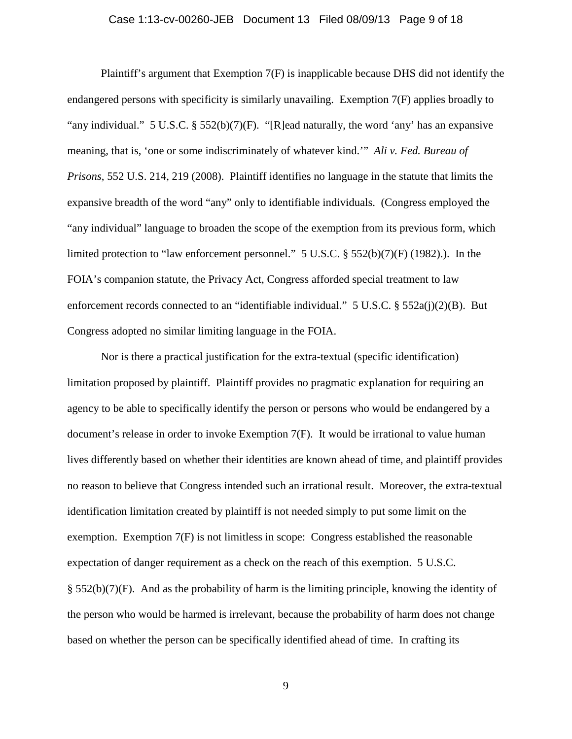### Case 1:13-cv-00260-JEB Document 13 Filed 08/09/13 Page 9 of 18

Plaintiff's argument that Exemption 7(F) is inapplicable because DHS did not identify the endangered persons with specificity is similarly unavailing. Exemption 7(F) applies broadly to "any individual." 5 U.S.C.  $\S$  552(b)(7)(F). "[R]ead naturally, the word 'any' has an expansive meaning, that is, 'one or some indiscriminately of whatever kind.'" *Ali v. Fed. Bureau of Prisons*, 552 U.S. 214, 219 (2008). Plaintiff identifies no language in the statute that limits the expansive breadth of the word "any" only to identifiable individuals. (Congress employed the "any individual" language to broaden the scope of the exemption from its previous form, which limited protection to "law enforcement personnel." 5 U.S.C. § 552(b)(7)(F) (1982).). In the FOIA's companion statute, the Privacy Act, Congress afforded special treatment to law enforcement records connected to an "identifiable individual." 5 U.S.C. § 552a(j)(2)(B). But Congress adopted no similar limiting language in the FOIA.

Nor is there a practical justification for the extra-textual (specific identification) limitation proposed by plaintiff. Plaintiff provides no pragmatic explanation for requiring an agency to be able to specifically identify the person or persons who would be endangered by a document's release in order to invoke Exemption 7(F). It would be irrational to value human lives differently based on whether their identities are known ahead of time, and plaintiff provides no reason to believe that Congress intended such an irrational result. Moreover, the extra-textual identification limitation created by plaintiff is not needed simply to put some limit on the exemption. Exemption 7(F) is not limitless in scope: Congress established the reasonable expectation of danger requirement as a check on the reach of this exemption. 5 U.S.C.  $\S$  552(b)(7)(F). And as the probability of harm is the limiting principle, knowing the identity of the person who would be harmed is irrelevant, because the probability of harm does not change based on whether the person can be specifically identified ahead of time. In crafting its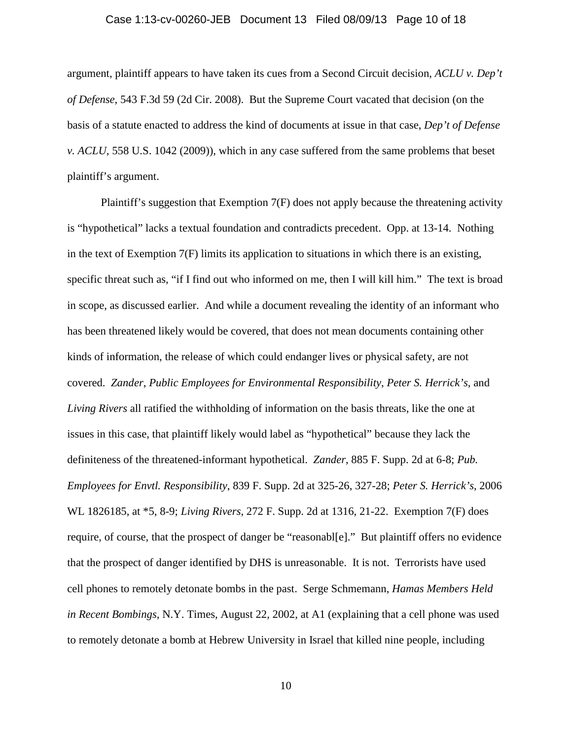### Case 1:13-cv-00260-JEB Document 13 Filed 08/09/13 Page 10 of 18

argument, plaintiff appears to have taken its cues from a Second Circuit decision, *ACLU v. Dep't of Defense*, 543 F.3d 59 (2d Cir. 2008). But the Supreme Court vacated that decision (on the basis of a statute enacted to address the kind of documents at issue in that case, *Dep't of Defense v. ACLU*, 558 U.S. 1042 (2009)), which in any case suffered from the same problems that beset plaintiff's argument.

Plaintiff's suggestion that Exemption 7(F) does not apply because the threatening activity is "hypothetical" lacks a textual foundation and contradicts precedent. Opp. at 13-14. Nothing in the text of Exemption  $7(F)$  limits its application to situations in which there is an existing, specific threat such as, "if I find out who informed on me, then I will kill him." The text is broad in scope, as discussed earlier. And while a document revealing the identity of an informant who has been threatened likely would be covered, that does not mean documents containing other kinds of information, the release of which could endanger lives or physical safety, are not covered. *Zander*, *Public Employees for Environmental Responsibility*, *Peter S. Herrick's,* and *Living Rivers* all ratified the withholding of information on the basis threats, like the one at issues in this case, that plaintiff likely would label as "hypothetical" because they lack the definiteness of the threatened-informant hypothetical. *Zander*, 885 F. Supp. 2d at 6-8; *Pub. Employees for Envtl. Responsibility*, 839 F. Supp. 2d at 325-26, 327-28; *Peter S. Herrick's*, 2006 WL 1826185, at \*5, 8-9; *Living Rivers*, 272 F. Supp. 2d at 1316, 21-22. Exemption 7(F) does require, of course, that the prospect of danger be "reasonabl[e]." But plaintiff offers no evidence that the prospect of danger identified by DHS is unreasonable. It is not. Terrorists have used cell phones to remotely detonate bombs in the past. Serge Schmemann, *Hamas Members Held in Recent Bombings*, N.Y. Times, August 22, 2002, at A1 (explaining that a cell phone was used to remotely detonate a bomb at Hebrew University in Israel that killed nine people, including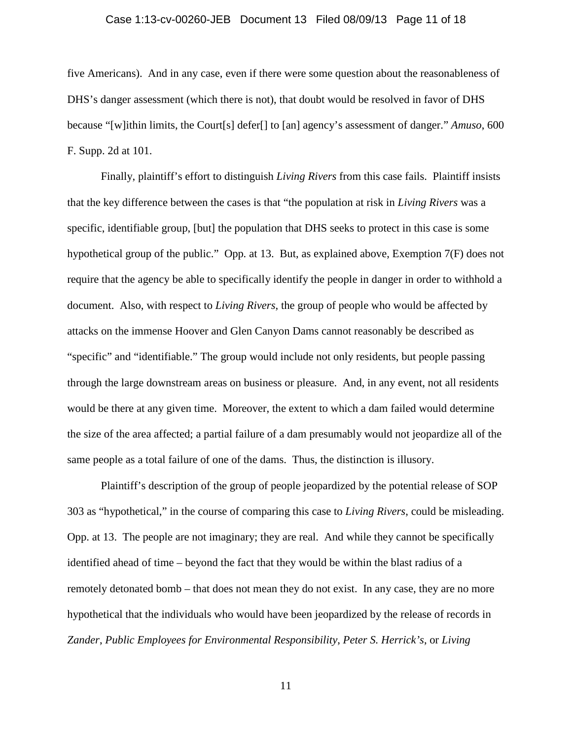### Case 1:13-cv-00260-JEB Document 13 Filed 08/09/13 Page 11 of 18

five Americans). And in any case, even if there were some question about the reasonableness of DHS's danger assessment (which there is not), that doubt would be resolved in favor of DHS because "[w]ithin limits, the Court[s] defer[] to [an] agency's assessment of danger." *Amuso*, 600 F. Supp. 2d at 101.

 Finally, plaintiff's effort to distinguish *Living Rivers* from this case fails. Plaintiff insists that the key difference between the cases is that "the population at risk in *Living Rivers* was a specific, identifiable group, [but] the population that DHS seeks to protect in this case is some hypothetical group of the public." Opp*.* at 13. But, as explained above, Exemption 7(F) does not require that the agency be able to specifically identify the people in danger in order to withhold a document. Also, with respect to *Living Rivers*, the group of people who would be affected by attacks on the immense Hoover and Glen Canyon Dams cannot reasonably be described as "specific" and "identifiable." The group would include not only residents, but people passing through the large downstream areas on business or pleasure. And, in any event, not all residents would be there at any given time. Moreover, the extent to which a dam failed would determine the size of the area affected; a partial failure of a dam presumably would not jeopardize all of the same people as a total failure of one of the dams. Thus, the distinction is illusory.

Plaintiff's description of the group of people jeopardized by the potential release of SOP 303 as "hypothetical," in the course of comparing this case to *Living Rivers*, could be misleading. Opp. at 13. The people are not imaginary; they are real. And while they cannot be specifically identified ahead of time – beyond the fact that they would be within the blast radius of a remotely detonated bomb – that does not mean they do not exist. In any case, they are no more hypothetical that the individuals who would have been jeopardized by the release of records in *Zander*, *Public Employees for Environmental Responsibility*, *Peter S. Herrick's*, or *Living*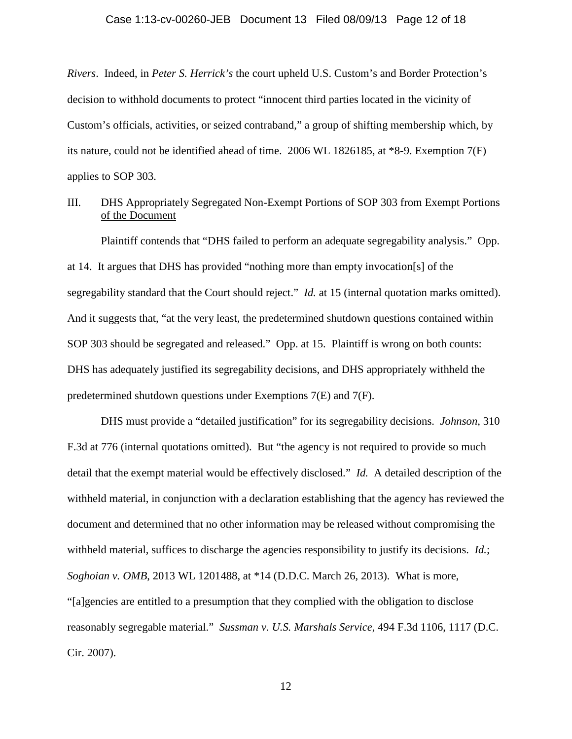### Case 1:13-cv-00260-JEB Document 13 Filed 08/09/13 Page 12 of 18

*Rivers*. Indeed, in *Peter S. Herrick's* the court upheld U.S. Custom's and Border Protection's decision to withhold documents to protect "innocent third parties located in the vicinity of Custom's officials, activities, or seized contraband," a group of shifting membership which, by its nature, could not be identified ahead of time. 2006 WL 1826185, at \*8-9. Exemption 7(F) applies to SOP 303.

III. DHS Appropriately Segregated Non-Exempt Portions of SOP 303 from Exempt Portions of the Document

 Plaintiff contends that "DHS failed to perform an adequate segregability analysis." Opp. at 14. It argues that DHS has provided "nothing more than empty invocation[s] of the segregability standard that the Court should reject." *Id.* at 15 (internal quotation marks omitted). And it suggests that, "at the very least, the predetermined shutdown questions contained within SOP 303 should be segregated and released." Opp. at 15. Plaintiff is wrong on both counts: DHS has adequately justified its segregability decisions, and DHS appropriately withheld the predetermined shutdown questions under Exemptions 7(E) and 7(F).

DHS must provide a "detailed justification" for its segregability decisions. *Johnson*, 310 F.3d at 776 (internal quotations omitted). But "the agency is not required to provide so much detail that the exempt material would be effectively disclosed." *Id.* A detailed description of the withheld material, in conjunction with a declaration establishing that the agency has reviewed the document and determined that no other information may be released without compromising the withheld material, suffices to discharge the agencies responsibility to justify its decisions. *Id.*; *Soghoian v. OMB*, 2013 WL 1201488, at \*14 (D.D.C. March 26, 2013). What is more, "[a]gencies are entitled to a presumption that they complied with the obligation to disclose reasonably segregable material." *Sussman v. U.S. Marshals Service*, 494 F.3d 1106, 1117 (D.C. Cir. 2007).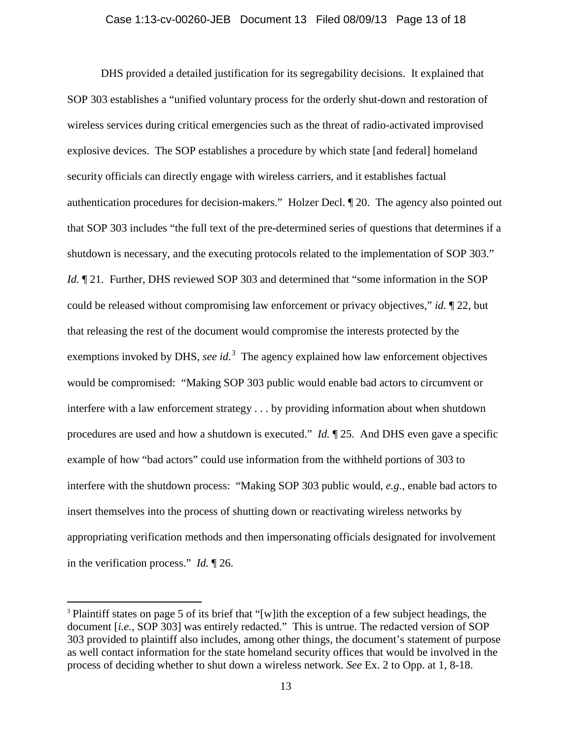#### Case 1:13-cv-00260-JEB Document 13 Filed 08/09/13 Page 13 of 18

 DHS provided a detailed justification for its segregability decisions. It explained that SOP 303 establishes a "unified voluntary process for the orderly shut-down and restoration of wireless services during critical emergencies such as the threat of radio-activated improvised explosive devices. The SOP establishes a procedure by which state [and federal] homeland security officials can directly engage with wireless carriers, and it establishes factual authentication procedures for decision-makers." Holzer Decl. ¶ 20. The agency also pointed out that SOP 303 includes "the full text of the pre-determined series of questions that determines if a shutdown is necessary, and the executing protocols related to the implementation of SOP 303." *Id.*  $\P$  21. Further, DHS reviewed SOP 303 and determined that "some information in the SOP could be released without compromising law enforcement or privacy objectives," *id.* ¶ 22, but that releasing the rest of the document would compromise the interests protected by the exemptions invoked by DHS, *see id*.<sup>3</sup> The agency explained how law enforcement objectives would be compromised: "Making SOP 303 public would enable bad actors to circumvent or interfere with a law enforcement strategy . . . by providing information about when shutdown procedures are used and how a shutdown is executed." *Id.* ¶ 25. And DHS even gave a specific example of how "bad actors" could use information from the withheld portions of 303 to interfere with the shutdown process: "Making SOP 303 public would, *e.g.*, enable bad actors to insert themselves into the process of shutting down or reactivating wireless networks by appropriating verification methods and then impersonating officials designated for involvement in the verification process." *Id.* ¶ 26.

 $\overline{a}$ 

<sup>&</sup>lt;sup>3</sup> Plaintiff states on page 5 of its brief that "[w]ith the exception of a few subject headings, the document [*i.e.*, SOP 303] was entirely redacted." This is untrue. The redacted version of SOP 303 provided to plaintiff also includes, among other things, the document's statement of purpose as well contact information for the state homeland security offices that would be involved in the process of deciding whether to shut down a wireless network. *See* Ex. 2 to Opp. at 1, 8-18.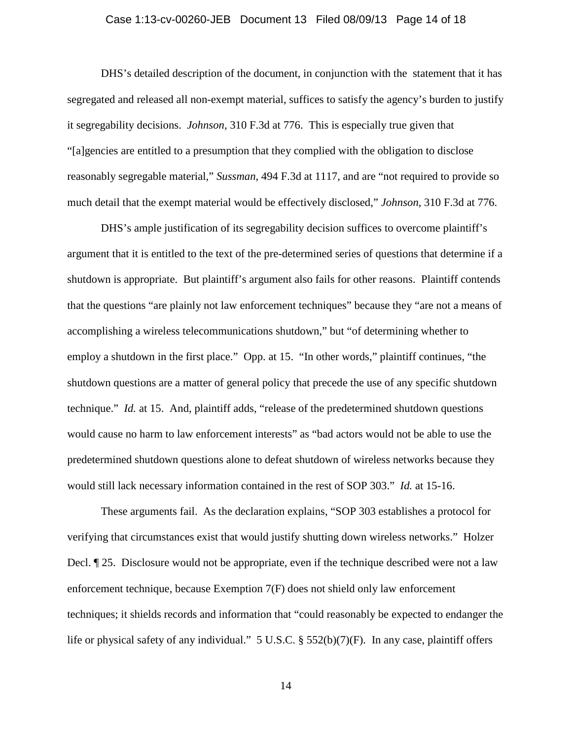### Case 1:13-cv-00260-JEB Document 13 Filed 08/09/13 Page 14 of 18

DHS's detailed description of the document, in conjunction with the statement that it has segregated and released all non-exempt material, suffices to satisfy the agency's burden to justify it segregability decisions. *Johnson*, 310 F.3d at 776. This is especially true given that "[a]gencies are entitled to a presumption that they complied with the obligation to disclose reasonably segregable material," *Sussman*, 494 F.3d at 1117, and are "not required to provide so much detail that the exempt material would be effectively disclosed," *Johnson*, 310 F.3d at 776.

DHS's ample justification of its segregability decision suffices to overcome plaintiff's argument that it is entitled to the text of the pre-determined series of questions that determine if a shutdown is appropriate. But plaintiff's argument also fails for other reasons. Plaintiff contends that the questions "are plainly not law enforcement techniques" because they "are not a means of accomplishing a wireless telecommunications shutdown," but "of determining whether to employ a shutdown in the first place." Opp. at 15. "In other words," plaintiff continues, "the shutdown questions are a matter of general policy that precede the use of any specific shutdown technique." *Id.* at 15. And, plaintiff adds, "release of the predetermined shutdown questions would cause no harm to law enforcement interests" as "bad actors would not be able to use the predetermined shutdown questions alone to defeat shutdown of wireless networks because they would still lack necessary information contained in the rest of SOP 303." *Id.* at 15-16.

These arguments fail. As the declaration explains, "SOP 303 establishes a protocol for verifying that circumstances exist that would justify shutting down wireless networks." Holzer Decl. ¶ 25. Disclosure would not be appropriate, even if the technique described were not a law enforcement technique, because Exemption 7(F) does not shield only law enforcement techniques; it shields records and information that "could reasonably be expected to endanger the life or physical safety of any individual." 5 U.S.C. § 552(b)(7)(F). In any case, plaintiff offers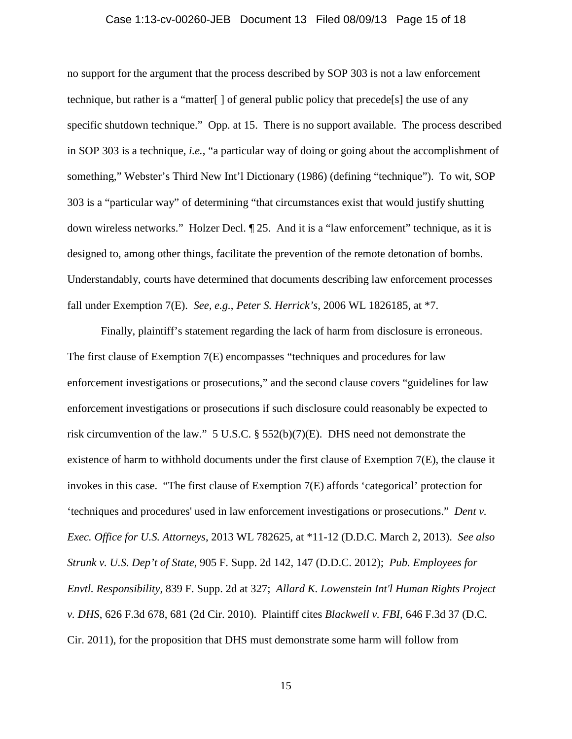### Case 1:13-cv-00260-JEB Document 13 Filed 08/09/13 Page 15 of 18

no support for the argument that the process described by SOP 303 is not a law enforcement technique, but rather is a "matter"  $\vert \vert$  of general public policy that precede<sup>[s]</sup> the use of any specific shutdown technique." Opp. at 15. There is no support available. The process described in SOP 303 is a technique, *i.e.*, "a particular way of doing or going about the accomplishment of something," Webster's Third New Int'l Dictionary (1986) (defining "technique"). To wit, SOP 303 is a "particular way" of determining "that circumstances exist that would justify shutting down wireless networks." Holzer Decl. ¶ 25. And it is a "law enforcement" technique, as it is designed to, among other things, facilitate the prevention of the remote detonation of bombs. Understandably, courts have determined that documents describing law enforcement processes fall under Exemption 7(E). *See, e.g.*, *Peter S. Herrick's*, 2006 WL 1826185, at \*7.

Finally, plaintiff's statement regarding the lack of harm from disclosure is erroneous. The first clause of Exemption 7(E) encompasses "techniques and procedures for law enforcement investigations or prosecutions," and the second clause covers "guidelines for law enforcement investigations or prosecutions if such disclosure could reasonably be expected to risk circumvention of the law." 5 U.S.C. § 552(b)(7)(E). DHS need not demonstrate the existence of harm to withhold documents under the first clause of Exemption 7(E), the clause it invokes in this case. "The first clause of Exemption 7(E) affords 'categorical' protection for 'techniques and procedures' used in law enforcement investigations or prosecutions." *Dent v. Exec. Office for U.S. Attorneys*, 2013 WL 782625, at \*11-12 (D.D.C. March 2, 2013). *See also Strunk v. U.S. Dep't of State*, 905 F. Supp. 2d 142, 147 (D.D.C. 2012); *Pub. Employees for Envtl. Responsibility*, 839 F. Supp. 2d at 327; *Allard K. Lowenstein Int'l Human Rights Project v. DHS*, 626 F.3d 678, 681 (2d Cir. 2010). Plaintiff cites *Blackwell v. FBI*, 646 F.3d 37 (D.C. Cir. 2011), for the proposition that DHS must demonstrate some harm will follow from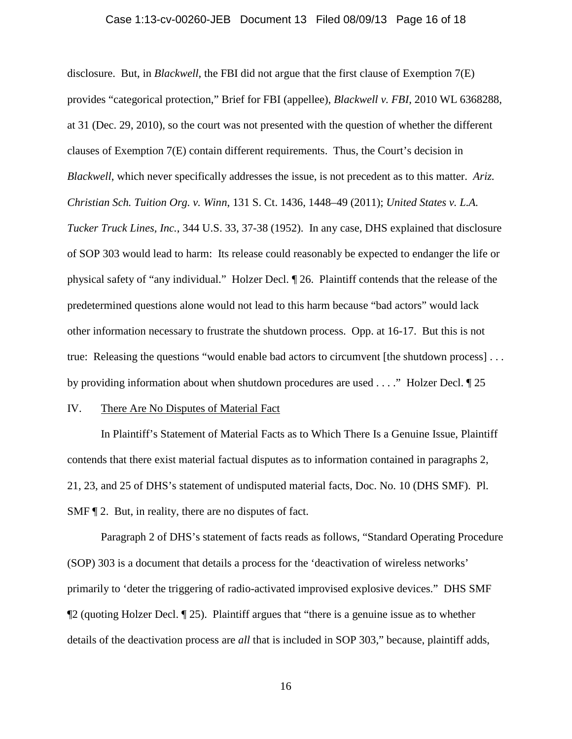#### Case 1:13-cv-00260-JEB Document 13 Filed 08/09/13 Page 16 of 18

disclosure. But, in *Blackwell*, the FBI did not argue that the first clause of Exemption 7(E) provides "categorical protection," Brief for FBI (appellee), *Blackwell v. FBI*, 2010 WL 6368288, at 31 (Dec. 29, 2010), so the court was not presented with the question of whether the different clauses of Exemption 7(E) contain different requirements. Thus, the Court's decision in *Blackwell*, which never specifically addresses the issue, is not precedent as to this matter. *Ariz. Christian Sch. Tuition Org. v. Winn*, 131 S. Ct. 1436, 1448–49 (2011); *United States v. L.A. Tucker Truck Lines, Inc.*, 344 U.S. 33, 37-38 (1952). In any case, DHS explained that disclosure of SOP 303 would lead to harm: Its release could reasonably be expected to endanger the life or physical safety of "any individual." Holzer Decl. ¶ 26. Plaintiff contends that the release of the predetermined questions alone would not lead to this harm because "bad actors" would lack other information necessary to frustrate the shutdown process. Opp. at 16-17. But this is not true: Releasing the questions "would enable bad actors to circumvent [the shutdown process] . . . by providing information about when shutdown procedures are used . . . ." Holzer Decl. ¶ 25

### IV. There Are No Disputes of Material Fact

In Plaintiff's Statement of Material Facts as to Which There Is a Genuine Issue, Plaintiff contends that there exist material factual disputes as to information contained in paragraphs 2, 21, 23, and 25 of DHS's statement of undisputed material facts, Doc. No. 10 (DHS SMF). Pl. SMF ¶ 2. But, in reality, there are no disputes of fact.

Paragraph 2 of DHS's statement of facts reads as follows, "Standard Operating Procedure (SOP) 303 is a document that details a process for the 'deactivation of wireless networks' primarily to 'deter the triggering of radio-activated improvised explosive devices." DHS SMF ¶2 (quoting Holzer Decl. ¶ 25). Plaintiff argues that "there is a genuine issue as to whether details of the deactivation process are *all* that is included in SOP 303," because, plaintiff adds,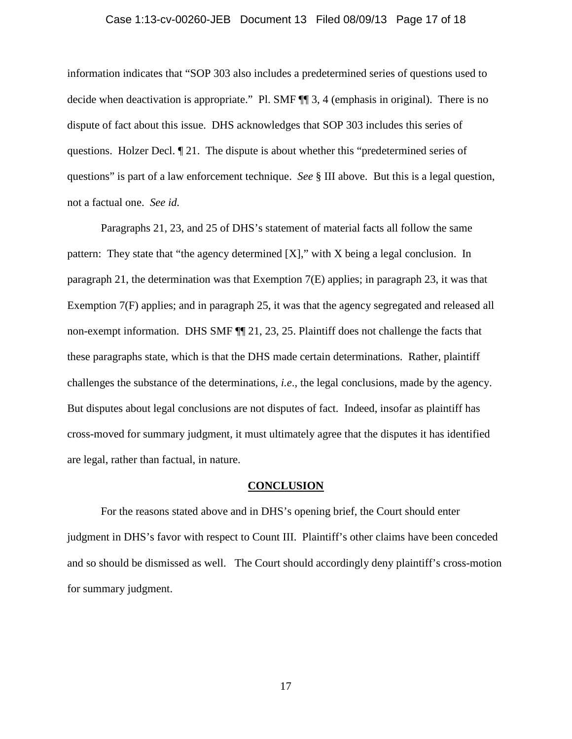### Case 1:13-cv-00260-JEB Document 13 Filed 08/09/13 Page 17 of 18

information indicates that "SOP 303 also includes a predetermined series of questions used to decide when deactivation is appropriate." Pl. SMF ¶¶ 3, 4 (emphasis in original). There is no dispute of fact about this issue. DHS acknowledges that SOP 303 includes this series of questions. Holzer Decl. ¶ 21. The dispute is about whether this "predetermined series of questions" is part of a law enforcement technique. *See* § III above. But this is a legal question, not a factual one. *See id.*

Paragraphs 21, 23, and 25 of DHS's statement of material facts all follow the same pattern: They state that "the agency determined [X]," with X being a legal conclusion. In paragraph 21, the determination was that Exemption 7(E) applies; in paragraph 23, it was that Exemption 7(F) applies; and in paragraph 25, it was that the agency segregated and released all non-exempt information. DHS SMF ¶¶ 21, 23, 25. Plaintiff does not challenge the facts that these paragraphs state, which is that the DHS made certain determinations. Rather, plaintiff challenges the substance of the determinations, *i.e*., the legal conclusions, made by the agency. But disputes about legal conclusions are not disputes of fact. Indeed, insofar as plaintiff has cross-moved for summary judgment, it must ultimately agree that the disputes it has identified are legal, rather than factual, in nature.

#### **CONCLUSION**

For the reasons stated above and in DHS's opening brief, the Court should enter judgment in DHS's favor with respect to Count III. Plaintiff's other claims have been conceded and so should be dismissed as well. The Court should accordingly deny plaintiff's cross-motion for summary judgment.